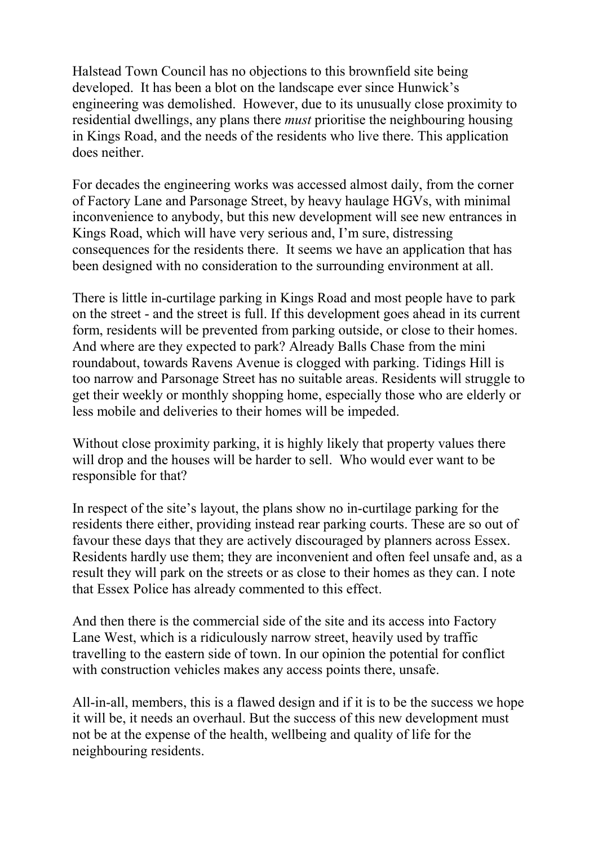Halstead Town Council has no objections to this brownfield site being developed. It has been a blot on the landscape ever since Hunwick's engineering was demolished. However, due to its unusually close proximity to residential dwellings, any plans there *must* prioritise the neighbouring housing in Kings Road, and the needs of the residents who live there. This application does neither.

For decades the engineering works was accessed almost daily, from the corner of Factory Lane and Parsonage Street, by heavy haulage HGVs, with minimal inconvenience to anybody, but this new development will see new entrances in Kings Road, which will have very serious and, I'm sure, distressing consequences for the residents there. It seems we have an application that has been designed with no consideration to the surrounding environment at all.

There is little in-curtilage parking in Kings Road and most people have to park on the street - and the street is full. If this development goes ahead in its current form, residents will be prevented from parking outside, or close to their homes. And where are they expected to park? Already Balls Chase from the mini roundabout, towards Ravens Avenue is clogged with parking. Tidings Hill is too narrow and Parsonage Street has no suitable areas. Residents will struggle to get their weekly or monthly shopping home, especially those who are elderly or less mobile and deliveries to their homes will be impeded.

Without close proximity parking, it is highly likely that property values there will drop and the houses will be harder to sell. Who would ever want to be responsible for that?

In respect of the site's layout, the plans show no in-curtilage parking for the residents there either, providing instead rear parking courts. These are so out of favour these days that they are actively discouraged by planners across Essex. Residents hardly use them; they are inconvenient and often feel unsafe and, as a result they will park on the streets or as close to their homes as they can. I note that Essex Police has already commented to this effect.

And then there is the commercial side of the site and its access into Factory Lane West, which is a ridiculously narrow street, heavily used by traffic travelling to the eastern side of town. In our opinion the potential for conflict with construction vehicles makes any access points there, unsafe.

All-in-all, members, this is a flawed design and if it is to be the success we hope it will be, it needs an overhaul. But the success of this new development must not be at the expense of the health, wellbeing and quality of life for the neighbouring residents.